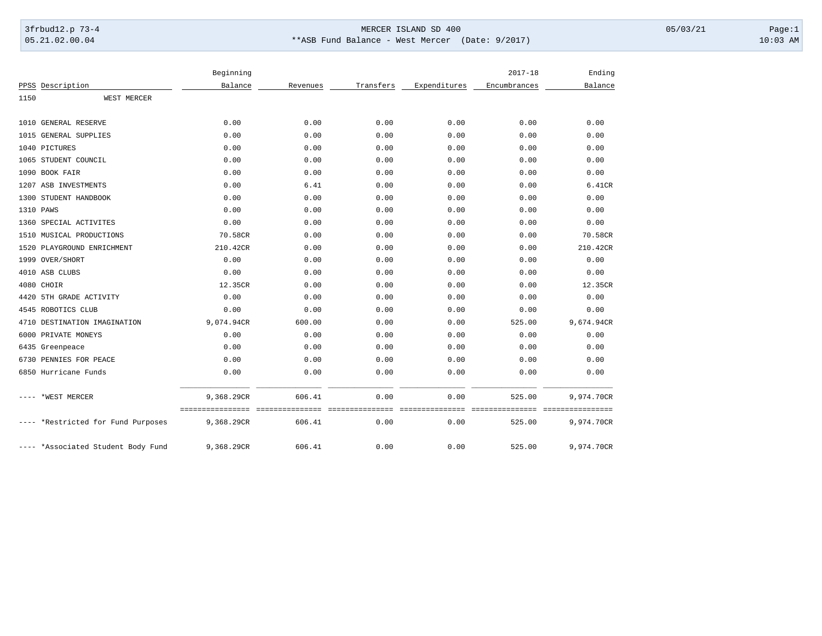## 3frbud12.p 73-4 Page:1 Page:1 05.21.02.00.04 \*\*ASB Fund Balance - West Mercer (Date: 9/2017) 10:03 AM

|      |                                    | Beginning  |          |           |              | $2017 - 18$  | Ending                         |
|------|------------------------------------|------------|----------|-----------|--------------|--------------|--------------------------------|
|      | PPSS Description                   | Balance    | Revenues | Transfers | Expenditures | Encumbrances | Balance                        |
| 1150 | WEST MERCER                        |            |          |           |              |              |                                |
|      | 1010 GENERAL RESERVE               | 0.00       | 0.00     | 0.00      | 0.00         | 0.00         | 0.00                           |
|      | 1015 GENERAL SUPPLIES              | 0.00       | 0.00     | 0.00      | 0.00         | 0.00         | 0.00                           |
|      | 1040 PICTURES                      | 0.00       | 0.00     | 0.00      | 0.00         | 0.00         | 0.00                           |
|      | 1065 STUDENT COUNCIL               | 0.00       | 0.00     | 0.00      | 0.00         | 0.00         | 0.00                           |
|      | 1090 BOOK FAIR                     | 0.00       | 0.00     | 0.00      | 0.00         | 0.00         | 0.00                           |
|      | 1207 ASB INVESTMENTS               | 0.00       | 6.41     | 0.00      | 0.00         | 0.00         | 6.41CR                         |
|      | 1300 STUDENT HANDBOOK              | 0.00       | 0.00     | 0.00      | 0.00         | 0.00         | 0.00                           |
|      | 1310 PAWS                          | 0.00       | 0.00     | 0.00      | 0.00         | 0.00         | 0.00                           |
|      | 1360 SPECIAL ACTIVITES             | 0.00       | 0.00     | 0.00      | 0.00         | 0.00         | 0.00                           |
| 1510 | MUSICAL PRODUCTIONS                | 70.58CR    | 0.00     | 0.00      | 0.00         | 0.00         | 70.58CR                        |
|      | 1520 PLAYGROUND ENRICHMENT         | 210.42CR   | 0.00     | 0.00      | 0.00         | 0.00         | 210.42CR                       |
|      | 1999 OVER/SHORT                    | 0.00       | 0.00     | 0.00      | 0.00         | 0.00         | 0.00                           |
|      | 4010 ASB CLUBS                     | 0.00       | 0.00     | 0.00      | 0.00         | 0.00         | 0.00                           |
|      | 4080 CHOIR                         | 12.35CR    | 0.00     | 0.00      | 0.00         | 0.00         | 12.35CR                        |
| 4420 | 5TH GRADE ACTIVITY                 | 0.00       | 0.00     | 0.00      | 0.00         | 0.00         | 0.00                           |
|      | 4545 ROBOTICS CLUB                 | 0.00       | 0.00     | 0.00      | 0.00         | 0.00         | 0.00                           |
|      | 4710 DESTINATION IMAGINATION       | 9,074.94CR | 600.00   | 0.00      | 0.00         | 525.00       | 9,674.94CR                     |
| 6000 | PRIVATE MONEYS                     | 0.00       | 0.00     | 0.00      | 0.00         | 0.00         | 0.00                           |
|      | 6435 Greenpeace                    | 0.00       | 0.00     | 0.00      | 0.00         | 0.00         | 0.00                           |
|      | 6730 PENNIES FOR PEACE             | 0.00       | 0.00     | 0.00      | 0.00         | 0.00         | 0.00                           |
|      | 6850 Hurricane Funds               | 0.00       | 0.00     | 0.00      | 0.00         | 0.00         | 0.00                           |
|      | *WEST MERCER                       | 9,368.29CR | 606.41   | 0.00      | 0.00         | 525.00       | 9,974.70CR                     |
|      | *Restricted for Fund Purposes      | 9,368.29CR | 606.41   | 0.00      | 0.00         | 525.00       | ================<br>9,974.70CR |
|      | ---- *Associated Student Body Fund | 9,368.29CR | 606.41   | 0.00      | 0.00         | 525.00       | 9,974.70CR                     |